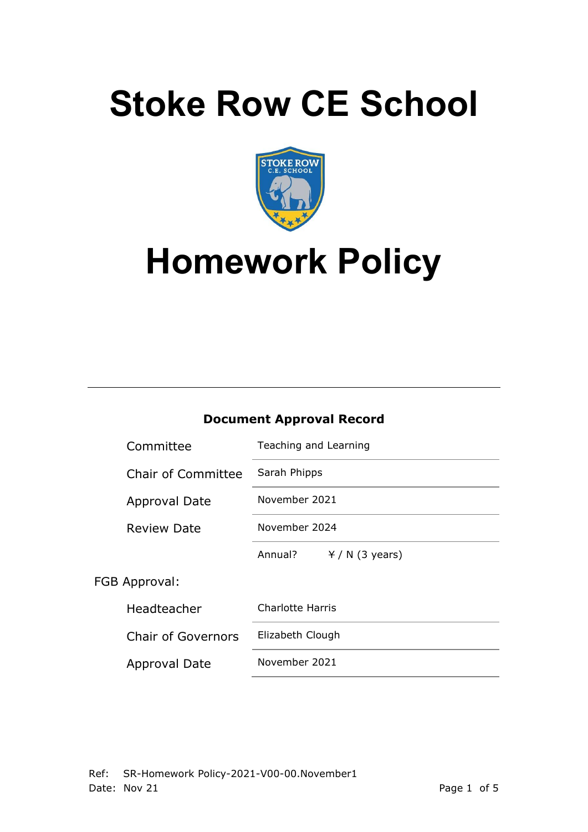# **Stoke Row CE School**



# **Homework Policy**

### **Document Approval Record**

|               | Committee                 | Teaching and Learning      |  |  |
|---------------|---------------------------|----------------------------|--|--|
|               | <b>Chair of Committee</b> | Sarah Phipps               |  |  |
|               | <b>Approval Date</b>      | November 2021              |  |  |
|               | <b>Review Date</b>        | November 2024              |  |  |
|               |                           | Annual?<br>$Y/N$ (3 years) |  |  |
| FGB Approval: |                           |                            |  |  |
|               | Headteacher               | Charlotte Harris           |  |  |
|               | <b>Chair of Governors</b> | Elizabeth Clough           |  |  |
|               | Approval Date             | November 2021              |  |  |
|               |                           |                            |  |  |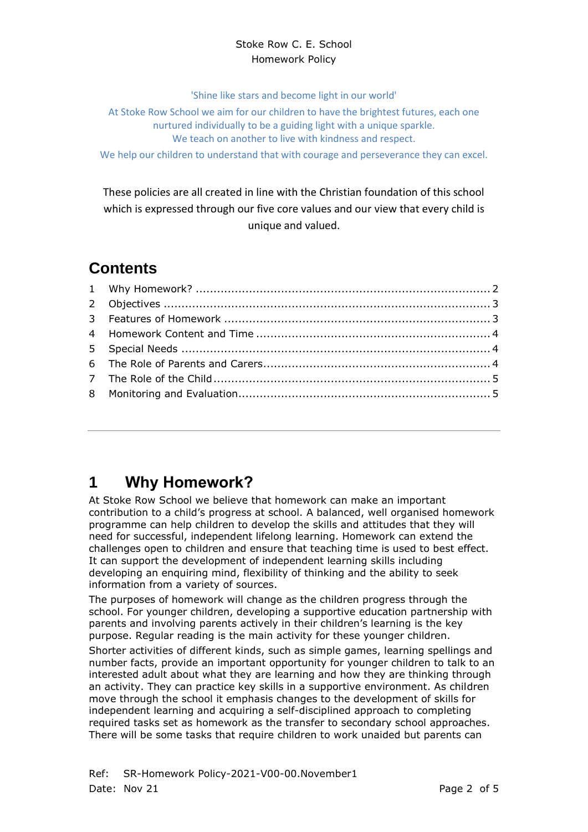#### Stoke Row C. E. School Homework Policy

'Shine like stars and become light in our world'

At Stoke Row School we aim for our children to have the brightest futures, each one nurtured individually to be a guiding light with a unique sparkle. We teach on another to live with kindness and respect.

We help our children to understand that with courage and perseverance they can excel.

These policies are all created in line with the Christian foundation of this school which is expressed through our five core values and our view that every child is unique and valued.

# **Contents**

# <span id="page-1-0"></span>**1 Why Homework?**

At Stoke Row School we believe that homework can make an important contribution to a child's progress at school. A balanced, well organised homework programme can help children to develop the skills and attitudes that they will need for successful, independent lifelong learning. Homework can extend the challenges open to children and ensure that teaching time is used to best effect. It can support the development of independent learning skills including developing an enquiring mind, flexibility of thinking and the ability to seek information from a variety of sources.

The purposes of homework will change as the children progress through the school. For younger children, developing a supportive education partnership with parents and involving parents actively in their children's learning is the key purpose. Regular reading is the main activity for these younger children.

Shorter activities of different kinds, such as simple games, learning spellings and number facts, provide an important opportunity for younger children to talk to an interested adult about what they are learning and how they are thinking through an activity. They can practice key skills in a supportive environment. As children move through the school it emphasis changes to the development of skills for independent learning and acquiring a self-disciplined approach to completing required tasks set as homework as the transfer to secondary school approaches. There will be some tasks that require children to work unaided but parents can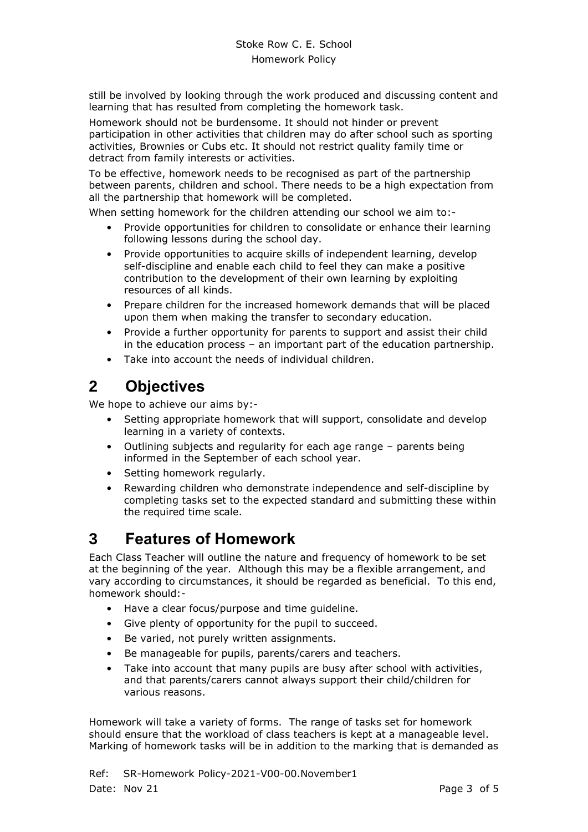still be involved by looking through the work produced and discussing content and learning that has resulted from completing the homework task.

Homework should not be burdensome. It should not hinder or prevent participation in other activities that children may do after school such as sporting activities, Brownies or Cubs etc. It should not restrict quality family time or detract from family interests or activities.

To be effective, homework needs to be recognised as part of the partnership between parents, children and school. There needs to be a high expectation from all the partnership that homework will be completed.

When setting homework for the children attending our school we aim to:-

- Provide opportunities for children to consolidate or enhance their learning following lessons during the school day.
- Provide opportunities to acquire skills of independent learning, develop self-discipline and enable each child to feel they can make a positive contribution to the development of their own learning by exploiting resources of all kinds.
- Prepare children for the increased homework demands that will be placed upon them when making the transfer to secondary education.
- Provide a further opportunity for parents to support and assist their child in the education process – an important part of the education partnership.
- Take into account the needs of individual children.

# <span id="page-2-0"></span>**2 Objectives**

We hope to achieve our aims by:-

- Setting appropriate homework that will support, consolidate and develop learning in a variety of contexts.
- Outlining subjects and regularity for each age range parents being informed in the September of each school year.
- Setting homework regularly.
- Rewarding children who demonstrate independence and self-discipline by completing tasks set to the expected standard and submitting these within the required time scale.

### <span id="page-2-1"></span>**3 Features of Homework**

Each Class Teacher will outline the nature and frequency of homework to be set at the beginning of the year. Although this may be a flexible arrangement, and vary according to circumstances, it should be regarded as beneficial. To this end, homework should:-

- Have a clear focus/purpose and time guideline.
- Give plenty of opportunity for the pupil to succeed.
- Be varied, not purely written assignments.
- Be manageable for pupils, parents/carers and teachers.
- Take into account that many pupils are busy after school with activities, and that parents/carers cannot always support their child/children for various reasons.

Homework will take a variety of forms. The range of tasks set for homework should ensure that the workload of class teachers is kept at a manageable level. Marking of homework tasks will be in addition to the marking that is demanded as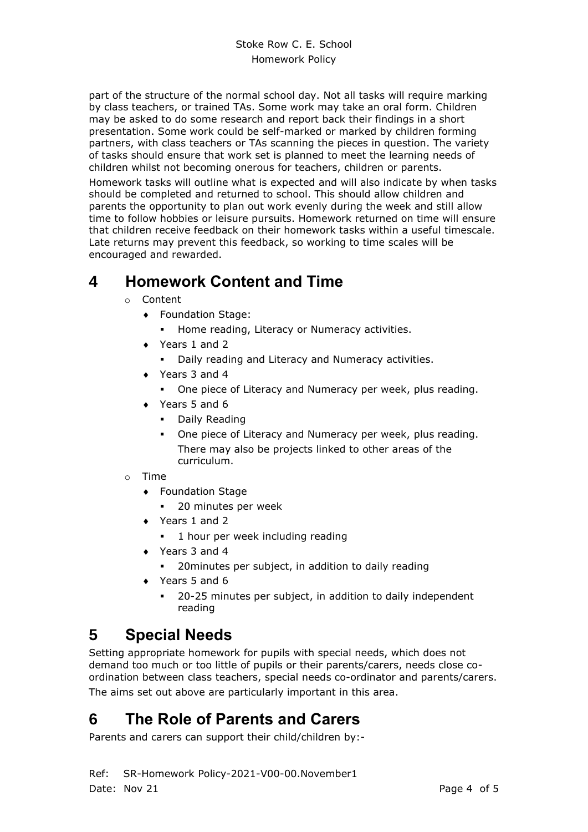part of the structure of the normal school day. Not all tasks will require marking by class teachers, or trained TAs. Some work may take an oral form. Children may be asked to do some research and report back their findings in a short presentation. Some work could be self-marked or marked by children forming partners, with class teachers or TAs scanning the pieces in question. The variety of tasks should ensure that work set is planned to meet the learning needs of children whilst not becoming onerous for teachers, children or parents.

Homework tasks will outline what is expected and will also indicate by when tasks should be completed and returned to school. This should allow children and parents the opportunity to plan out work evenly during the week and still allow time to follow hobbies or leisure pursuits. Homework returned on time will ensure that children receive feedback on their homework tasks within a useful timescale. Late returns may prevent this feedback, so working to time scales will be encouraged and rewarded.

# <span id="page-3-0"></span>**4 Homework Content and Time**

- o Content
	- Foundation Stage:
		- **EXEDENT Home reading, Literacy or Numeracy activities.**
	- ◆ Years 1 and 2
		- Daily reading and Literacy and Numeracy activities.
	- ◆ Years 3 and 4
		- One piece of Literacy and Numeracy per week, plus reading.
	- ◆ Years 5 and 6
		- Daily Reading
		- One piece of Literacy and Numeracy per week, plus reading. There may also be projects linked to other areas of the curriculum.
- o Time
	- Foundation Stage
		- 20 minutes per week
	- ◆ Years 1 and 2
		- 1 hour per week including reading
	- ◆ Years 3 and 4
		- 20 minutes per subject, in addition to daily reading
	- $\rightarrow$  Years 5 and 6
		- 20-25 minutes per subject, in addition to daily independent reading

# <span id="page-3-1"></span>**5 Special Needs**

Setting appropriate homework for pupils with special needs, which does not demand too much or too little of pupils or their parents/carers, needs close coordination between class teachers, special needs co-ordinator and parents/carers. The aims set out above are particularly important in this area.

# <span id="page-3-2"></span>**6 The Role of Parents and Carers**

Parents and carers can support their child/children by:-

Ref: SR-Homework Policy-2021-V00-00.November1 Date: Nov 21 **Page 4 of 5**